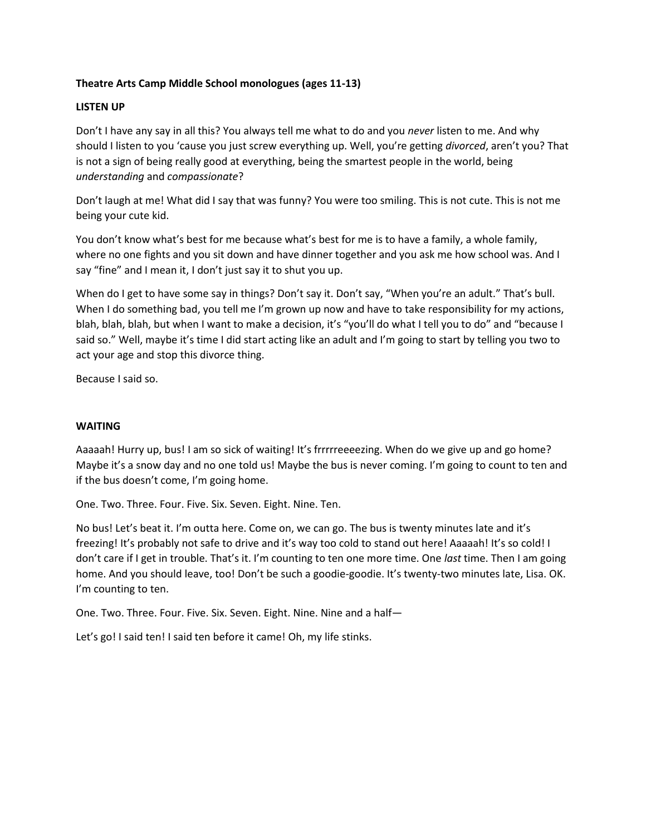# **Theatre Arts Camp Middle School monologues (ages 11-13)**

## **LISTEN UP**

Don't I have any say in all this? You always tell me what to do and you *never* listen to me. And why should I listen to you 'cause you just screw everything up. Well, you're getting *divorced*, aren't you? That is not a sign of being really good at everything, being the smartest people in the world, being *understanding* and *compassionate*?

Don't laugh at me! What did I say that was funny? You were too smiling. This is not cute. This is not me being your cute kid.

You don't know what's best for me because what's best for me is to have a family, a whole family, where no one fights and you sit down and have dinner together and you ask me how school was. And I say "fine" and I mean it, I don't just say it to shut you up.

When do I get to have some say in things? Don't say it. Don't say, "When you're an adult." That's bull. When I do something bad, you tell me I'm grown up now and have to take responsibility for my actions, blah, blah, blah, but when I want to make a decision, it's "you'll do what I tell you to do" and "because I said so." Well, maybe it's time I did start acting like an adult and I'm going to start by telling you two to act your age and stop this divorce thing.

Because I said so.

### **WAITING**

Aaaaah! Hurry up, bus! I am so sick of waiting! It's frrrrreeeezing. When do we give up and go home? Maybe it's a snow day and no one told us! Maybe the bus is never coming. I'm going to count to ten and if the bus doesn't come, I'm going home.

One. Two. Three. Four. Five. Six. Seven. Eight. Nine. Ten.

No bus! Let's beat it. I'm outta here. Come on, we can go. The bus is twenty minutes late and it's freezing! It's probably not safe to drive and it's way too cold to stand out here! Aaaaah! It's so cold! I don't care if I get in trouble. That's it. I'm counting to ten one more time. One *last* time. Then I am going home. And you should leave, too! Don't be such a goodie-goodie. It's twenty-two minutes late, Lisa. OK. I'm counting to ten.

One. Two. Three. Four. Five. Six. Seven. Eight. Nine. Nine and a half—

Let's go! I said ten! I said ten before it came! Oh, my life stinks.